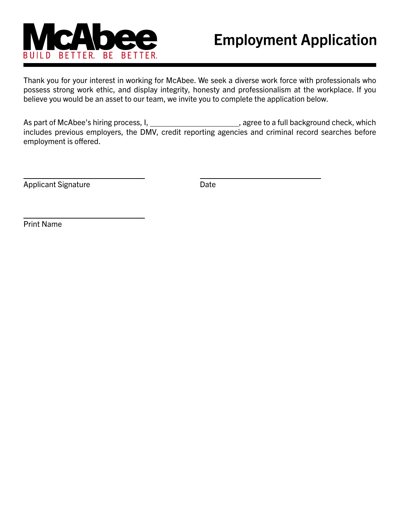

# **Employment Application**

Thank you for your interest in working for McAbee. We seek a diverse work force with professionals who possess strong work ethic, and display integrity, honesty and professionalism at the workplace. If you believe you would be an asset to our team, we invite you to complete the application below.

As part of McAbee's hiring process, I, \_\_\_\_\_\_\_\_\_\_\_\_\_\_\_\_\_\_\_\_\_\_\_, agree to a full background check, which includes previous employers, the DMV, credit reporting agencies and criminal record searches before employment is offered.

Applicant Signature

Date

Print Name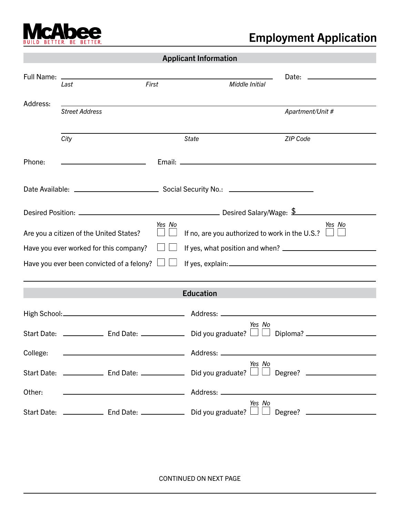

## **Employment Application**

|  | <b>Applicant Information</b> |  |
|--|------------------------------|--|
|  |                              |  |

| Full Name:                                                                                       |                                                              |        |                                                                               | Date:<br><u> 1980 - Johann Barbara, martxa alemani</u> ar a |  |
|--------------------------------------------------------------------------------------------------|--------------------------------------------------------------|--------|-------------------------------------------------------------------------------|-------------------------------------------------------------|--|
|                                                                                                  | Last                                                         | First  | Middle Initial                                                                |                                                             |  |
| Address:                                                                                         |                                                              |        |                                                                               |                                                             |  |
|                                                                                                  | <b>Street Address</b>                                        |        |                                                                               | Apartment/Unit #                                            |  |
|                                                                                                  |                                                              |        |                                                                               |                                                             |  |
|                                                                                                  | City                                                         |        | <b>State</b>                                                                  | <b>ZIP Code</b>                                             |  |
| Phone:                                                                                           | <u> 1989 - Johann Barbara, martxa al</u>                     |        |                                                                               |                                                             |  |
|                                                                                                  |                                                              |        |                                                                               |                                                             |  |
|                                                                                                  |                                                              |        |                                                                               |                                                             |  |
|                                                                                                  |                                                              |        |                                                                               |                                                             |  |
|                                                                                                  |                                                              | Yes No |                                                                               | Yes No                                                      |  |
| If no, are you authorized to work in the U.S.? $\Box$<br>Are you a citizen of the United States? |                                                              |        |                                                                               |                                                             |  |
|                                                                                                  | Have you ever worked for this company?                       |        |                                                                               |                                                             |  |
| Have you ever been convicted of a felony?                                                        |                                                              |        |                                                                               |                                                             |  |
|                                                                                                  |                                                              |        |                                                                               |                                                             |  |
|                                                                                                  |                                                              |        | <b>Education</b>                                                              |                                                             |  |
|                                                                                                  |                                                              |        |                                                                               |                                                             |  |
|                                                                                                  |                                                              |        | Yes No                                                                        |                                                             |  |
|                                                                                                  |                                                              |        |                                                                               |                                                             |  |
| College:                                                                                         |                                                              |        |                                                                               |                                                             |  |
|                                                                                                  | Start Date: $\Box$ End Date: $\Box$ Did you graduate? $\Box$ |        | Yes No                                                                        | <u>Degree?</u> __________________                           |  |
| Other:                                                                                           | <u> 1989 - Johann Barn, amerikansk politiker (d. 1989)</u>   |        |                                                                               |                                                             |  |
|                                                                                                  |                                                              |        | Yes No<br>Start Date: $\Box$ End Date: $\Box$ Did you graduate? $\Box$ $\Box$ |                                                             |  |

CONTINUED ON NEXT PAGE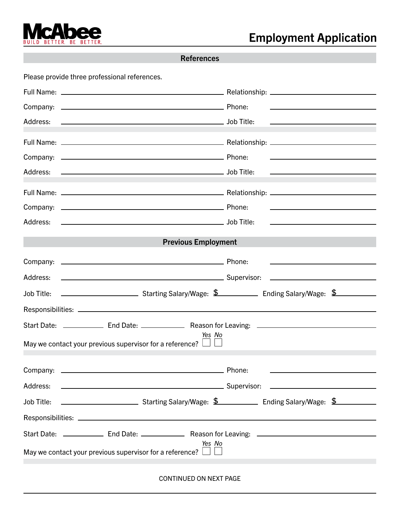

Please provide three professional references.

|                                                                                                                                         | <u>and the state of the state of the state of the state of the state of the state of the state of the state of the state of the state of the state of the state of the state of the state of the state of the state of the state</u> |
|-----------------------------------------------------------------------------------------------------------------------------------------|--------------------------------------------------------------------------------------------------------------------------------------------------------------------------------------------------------------------------------------|
| Address:                                                                                                                                | <u> 1989 - Johann Stein, mars an de Brazilian (b. 1989)</u>                                                                                                                                                                          |
|                                                                                                                                         |                                                                                                                                                                                                                                      |
|                                                                                                                                         | the contract of the contract of the contract of the contract of the contract of                                                                                                                                                      |
|                                                                                                                                         | <u> Alexandria de la contrada de la contrada de la contrada de la contrada de la contrada de la contrada de la c</u>                                                                                                                 |
|                                                                                                                                         |                                                                                                                                                                                                                                      |
|                                                                                                                                         | <u> Alexander de la construcción de la construcción de la construcción de la construcción de la construcción de l</u>                                                                                                                |
|                                                                                                                                         | the control of the control of the control of the control of the control of the control of                                                                                                                                            |
| <b>Previous Employment</b>                                                                                                              |                                                                                                                                                                                                                                      |
|                                                                                                                                         | <u> 1989 - Johann Barnett, fransk politik (</u> † 1908)                                                                                                                                                                              |
|                                                                                                                                         | <u> Alexandria de la contrada de la contrada de la contrada de la contrada de la contrada de la contrada de la c</u>                                                                                                                 |
|                                                                                                                                         |                                                                                                                                                                                                                                      |
|                                                                                                                                         |                                                                                                                                                                                                                                      |
| Start Date: _______________ End Date: _______________ Reason for Leaving: __________________________                                    |                                                                                                                                                                                                                                      |
| Yes No<br>May we contact your previous supervisor for a reference? $\Box \Box$                                                          |                                                                                                                                                                                                                                      |
|                                                                                                                                         |                                                                                                                                                                                                                                      |
| Address:<br>Supervisor:                                                                                                                 |                                                                                                                                                                                                                                      |
| <b>Ending Salary/Mage: \$</b> Finding Salary/Wage: \$ Finding Salary/Wage: \$ 5 The Salary/Wage: \$ 5 The Salary Salary A<br>Job Title: |                                                                                                                                                                                                                                      |
|                                                                                                                                         |                                                                                                                                                                                                                                      |
| Start Date: _______________ End Date: _______________ Reason for Leaving: _________________________                                     |                                                                                                                                                                                                                                      |
| Yes No<br>May we contact your previous supervisor for a reference?                                                                      |                                                                                                                                                                                                                                      |

CONTINUED ON NEXT PAGE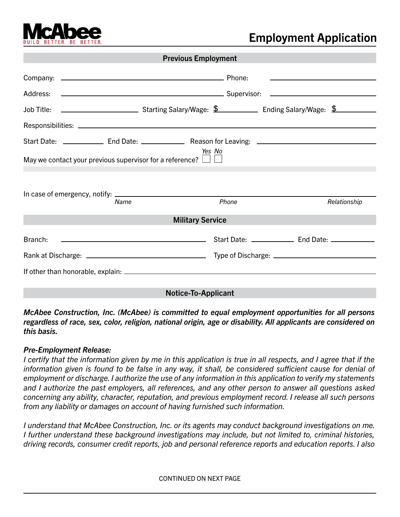

### **Employment Application**

|                                                                                | <b>Previous Employment</b>                                                                                                                                                                                                     |       |                                                                            |  |  |  |
|--------------------------------------------------------------------------------|--------------------------------------------------------------------------------------------------------------------------------------------------------------------------------------------------------------------------------|-------|----------------------------------------------------------------------------|--|--|--|
|                                                                                |                                                                                                                                                                                                                                |       | the control of the control of the control of the control of the control of |  |  |  |
|                                                                                | <u> Alexandria de la contrada de la contrada de la contrada de la contrada de la contrada de la contrada de la c</u>                                                                                                           |       |                                                                            |  |  |  |
|                                                                                |                                                                                                                                                                                                                                |       |                                                                            |  |  |  |
|                                                                                |                                                                                                                                                                                                                                |       |                                                                            |  |  |  |
| Yes No<br>May we contact your previous supervisor for a reference? $\Box \Box$ |                                                                                                                                                                                                                                |       |                                                                            |  |  |  |
|                                                                                | Name                                                                                                                                                                                                                           | Phone | Relationship                                                               |  |  |  |
| <b>Military Service</b>                                                        |                                                                                                                                                                                                                                |       |                                                                            |  |  |  |
| Branch:                                                                        | and Date: All Contracts and Date: All Contracts and Date: All Contracts and Date: All Contracts and Date: All Contracts and Date: All Contracts and Date: All Contracts and Date: All Contracts and Date: All Contracts and Da |       |                                                                            |  |  |  |
|                                                                                |                                                                                                                                                                                                                                |       |                                                                            |  |  |  |
|                                                                                |                                                                                                                                                                                                                                |       |                                                                            |  |  |  |
| <b>Notice-To-Applicant</b>                                                     |                                                                                                                                                                                                                                |       |                                                                            |  |  |  |

*McAbee Construction, Inc. (McAbee) is committed to equal employment opportunities for all persons regardless of race, sex, color, religion, national origin, age or disability. All applicants are considered on this basis.*

### *Pre-Employment Release:*

*I certify that the information given by me in this application is true in all respects, and I agree that if the information given is found to be false in any way, it shall, be considered sufficient cause for denial of employment or discharge. I authorize the use of any information in this application to verify my statements and I authorize the past employers, all references, and any other person to answer all questions asked concerning any ability, character, reputation, and previous employment record. I release all such persons from any liability or damages on account of having furnished such information.*

*I understand that McAbee Construction, Inc. or its agents may conduct background investigations on me. I further understand these background investigations may include, but not limited to, criminal histories, driving records, consumer credit reports, job and personal reference reports and education reports. I also* 

CONTINUED ON NEXT PAGE